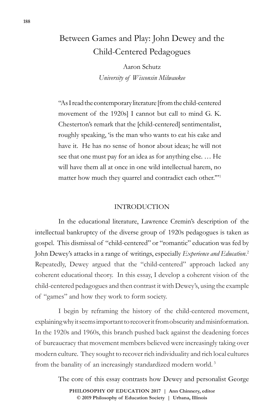# Between Games and Play: John Dewey and the Child-Centered Pedagogues

Aaron Schutz *University of Wisconsin Milwaukee*

"As I read the contemporary literature [from the child-centered movement of the 1920s] I cannot but call to mind G. K. Chesterton's remark that the [child-centered] sentimentalist, roughly speaking, 'is the man who wants to eat his cake and have it. He has no sense of honor about ideas; he will not see that one must pay for an idea as for anything else. … He will have them all at once in one wild intellectual harem, no matter how much they quarrel and contradict each other.'"1

## INTRODUCTION

In the educational literature, Lawrence Cremin's description of the intellectual bankruptcy of the diverse group of 1920s pedagogues is taken as gospel. This dismissal of "child-centered" or "romantic" education was fed by John Dewey's attacks in a range of writings, especially *Experience and Education*. 2 Repeatedly, Dewey argued that the "child-centered" approach lacked any coherent educational theory. In this essay, I develop a coherent vision of the child-centered pedagogues and then contrast it with Dewey's, using the example of "games" and how they work to form society.

I begin by reframing the history of the child-centered movement, explaining why it seems important to recover it from obscurity and misinformation. In the 1920s and 1960s, this branch pushed back against the deadening forces of bureaucracy that movement members believed were increasingly taking over modern culture. They sought to recover rich individuality and rich local cultures from the banality of an increasingly standardized modern world.<sup>3</sup>

The core of this essay contrasts how Dewey and personalist George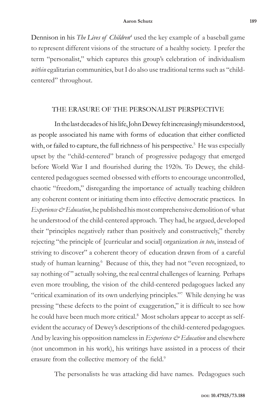Dennison in his *The Lives of Children<sup>4</sup>* used the key example of a baseball game to represent different visions of the structure of a healthy society. I prefer the term "personalist," which captures this group's celebration of individualism *within* egalitarian communities, but I do also use traditional terms such as "childcentered" throughout.

### THE ERASURE OF THE PERSONALIST PERSPECTIVE

In the last decades of his life, John Dewey felt increasingly misunderstood, as people associated his name with forms of education that either conflicted with, or failed to capture, the full richness of his perspective.<sup>5</sup> He was especially upset by the "child-centered" branch of progressive pedagogy that emerged before World War I and flourished during the 1920s. To Dewey, the childcentered pedagogues seemed obsessed with efforts to encourage uncontrolled, chaotic "freedom," disregarding the importance of actually teaching children any coherent content or initiating them into effective democratic practices. In *Experience & Education*, he published his most comprehensive demolition of what he understood of the child-centered approach. They had, he argued, developed their "principles negatively rather than positively and constructively," thereby rejecting "the principle of [curricular and social] organization *in toto*, instead of striving to discover" a coherent theory of education drawn from of a careful study of human learning.<sup>6</sup> Because of this, they had not "even recognized, to say nothing of" actually solving, the real central challenges of learning. Perhaps even more troubling, the vision of the child-centered pedagogues lacked any "critical examination of its own underlying principles."7 While denying he was pressing "these defects to the point of exaggeration," it is difficult to see how he could have been much more critical.<sup>8</sup> Most scholars appear to accept as selfevident the accuracy of Dewey's descriptions of the child-centered pedagogues. And by leaving his opposition nameless in *Experience & Education* and elsewhere (not uncommon in his work), his writings have assisted in a process of their erasure from the collective memory of the field.<sup>9</sup>

The personalists he was attacking did have names. Pedagogues such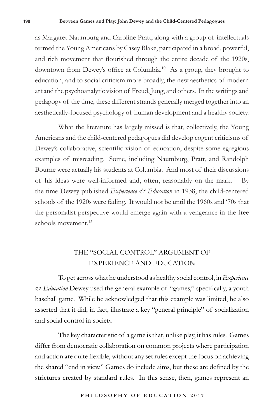as Margaret Naumburg and Caroline Pratt, along with a group of intellectuals termed the Young Americans by Casey Blake, participated in a broad, powerful, and rich movement that flourished through the entire decade of the 1920s, downtown from Dewey's office at Columbia.10 As a group, they brought to education, and to social criticism more broadly, the new aesthetics of modern art and the psychoanalytic vision of Freud, Jung, and others. In the writings and pedagogy of the time, these different strands generally merged together into an aesthetically-focused psychology of human development and a healthy society.

What the literature has largely missed is that, collectively, the Young Americans and the child-centered pedagogues did develop cogent criticisms of Dewey's collaborative, scientific vision of education, despite some egregious examples of misreading. Some, including Naumburg, Pratt, and Randolph Bourne were actually his students at Columbia. And most of their discussions of his ideas were well-informed and, often, reasonably on the mark.<sup>11</sup> By the time Dewey published *Experience & Education* in 1938, the child-centered schools of the 1920s were fading. It would not be until the 1960s and '70s that the personalist perspective would emerge again with a vengeance in the free schools movement.<sup>12</sup>

# THE "SOCIAL CONTROL" ARGUMENT OF EXPERIENCE AND EDUCATION

To get across what he understood as healthy social control, in *Experience & Education* Dewey used the general example of "games," specifically, a youth baseball game. While he acknowledged that this example was limited, he also asserted that it did, in fact, illustrate a key "general principle" of socialization and social control in society.

The key characteristic of a game is that, unlike play, it has rules. Games differ from democratic collaboration on common projects where participation and action are quite flexible, without any set rules except the focus on achieving the shared "end in view." Games do include aims, but these are defined by the strictures created by standard rules. In this sense, then, games represent an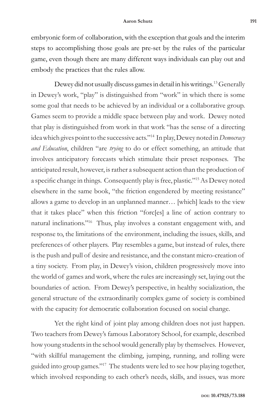embryonic form of collaboration, with the exception that goals and the interim steps to accomplishing those goals are pre-set by the rules of the particular game, even though there are many different ways individuals can play out and embody the practices that the rules allow.

Dewey did not usually discuss games in detail in his writings.<sup>13</sup> Generally in Dewey's work, "play" is distinguished from "work" in which there is some some goal that needs to be achieved by an individual or a collaborative group. Games seem to provide a middle space between play and work. Dewey noted that play is distinguished from work in that work "has the sense of a directing idea which gives point to the successive acts."14 In play, Dewey noted in *Democracy and Education*, children "are *trying* to do or effect something, an attitude that involves anticipatory forecasts which stimulate their preset responses. The anticipated result, however, is rather a subsequent action than the production of a specific change in things. Consequently play is free, plastic."15 As Dewey noted elsewhere in the same book, "the friction engendered by meeting resistance" allows a game to develop in an unplanned manner… [which] leads to the view that it takes place" when this friction "forc[es] a line of action contrary to natural inclinations."16 Thus, play involves a constant engagement with, and response to, the limitations of the environment, including the issues, skills, and preferences of other players. Play resembles a game, but instead of rules, there is the push and pull of desire and resistance, and the constant micro-creation of a tiny society. From play, in Dewey's vision, children progressively move into the world of games and work, where the rules are increasingly set, laying out the boundaries of action. From Dewey's perspective, in healthy socialization, the general structure of the extraordinarily complex game of society is combined with the capacity for democratic collaboration focused on social change.

Yet the right kind of joint play among children does not just happen. Two teachers from Dewey's famous Laboratory School, for example, described how young students in the school would generally play by themselves. However, "with skillful management the climbing, jumping, running, and rolling were guided into group games."17 The students were led to see how playing together, which involved responding to each other's needs, skills, and issues, was more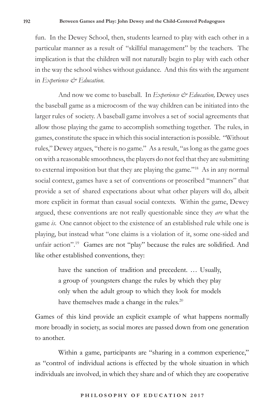fun. In the Dewey School, then, students learned to play with each other in a particular manner as a result of "skillful management" by the teachers. The implication is that the children will not naturally begin to play with each other in the way the school wishes without guidance. And this fits with the argument in *Experience & Education*.

And now we come to baseball. In *Experience & Education*, Dewey uses the baseball game as a microcosm of the way children can be initiated into the larger rules of society. A baseball game involves a set of social agreements that allow those playing the game to accomplish something together. The rules, in games, constitute the space in which this social interaction is possible. "Without rules," Dewey argues, "there is no game." As a result, "as long as the game goes on with a reasonable smoothness, the players do not feel that they are submitting to external imposition but that they are playing the game."18 As in any normal social context, games have a set of conventions or proscribed "manners" that provide a set of shared expectations about what other players will do, albeit more explicit in format than casual social contexts. Within the game, Dewey argued, these conventions are not really questionable since they *are* what the game *is*. One cannot object to the existence of an established rule while one is playing, but instead what "one claims is a violation of it, some one-sided and unfair action".<sup>19</sup> Games are not "play" because the rules are solidified. And like other established conventions, they:

> have the sanction of tradition and precedent. … Usually, a group of youngsters change the rules by which they play only when the adult group to which they look for models have themselves made a change in the rules.<sup>20</sup>

Games of this kind provide an explicit example of what happens normally more broadly in society, as social mores are passed down from one generation to another.

Within a game, participants are "sharing in a common experience," as "control of individual actions is effected by the whole situation in which individuals are involved, in which they share and of which they are cooperative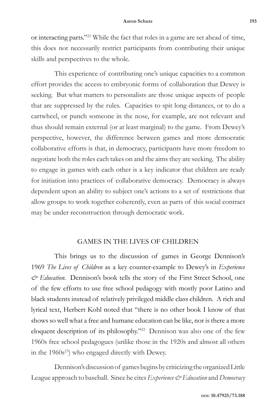or interacting parts."21 While the fact that roles in a game are set ahead of time, this does not necessarily restrict participants from contributing their unique skills and perspectives to the whole.

This experience of contributing one's unique capacities to a common effort provides the access to embryonic forms of collaboration that Dewey is seeking. But what matters to personalists are those unique aspects of people that are suppressed by the rules. Capacities to spit long distances, or to do a cartwheel, or punch someone in the nose, for example, are not relevant and thus should remain external (or at least marginal) to the game. From Dewey's perspective, however, the difference between games and more democratic collaborative efforts is that, in democracy, participants have more freedom to negotiate both the roles each takes on and the aims they are seeking. The ability to engage in games with each other is a key indicator that children are ready for initiation into practices of collaborative democracy. Democracy is always dependent upon an ability to subject one's actions to a set of restrictions that allow groups to work together coherently, even as parts of this social contract may be under reconstruction through democratic work.

# GAMES IN THE LIVES OF CHILDREN

This brings us to the discussion of games in George Dennison's 1969 *The Lives of Children* as a key counter-example to Dewey's in *Experience & Education.* Dennison's book tells the story of the First Street School, one of the few efforts to use free school pedagogy with mostly poor Latino and black students instead of relatively privileged middle class children. A rich and lyrical text, Herbert Kohl noted that "there is no other book I know of that shows so well what a free and humane education can be like, nor is there a more eloquent description of its philosophy."<sup>22</sup> Dennison was also one of the few 1960s free school pedagogues (unlike those in the 1920s and almost all others in the  $1960s^{23}$ ) who engaged directly with Dewey.

Dennison's discussion of games begins by criticizing the organized Little League approach to baseball. Since he cites *Experience & Education* and *Democracy*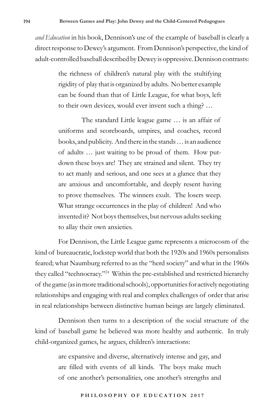*and Education* in his book, Dennison's use of the example of baseball is clearly a direct response to Dewey's argument. From Dennison's perspective, the kind of adult-controlled baseball described by Dewey is oppressive. Dennison contrasts:

> the richness of children's natural play with the stultifying rigidity of play that is organized by adults. No better example can be found than that of Little League, for what boys, left to their own devices, would ever invent such a thing? …

> The standard Little league game … is an affair of uniforms and scoreboards, umpires, and coaches, record books, and publicity. And there in the stands … is an audience of adults … just waiting to be proud of them. How putdown these boys are! They are strained and silent. They try to act manly and serious, and one sees at a glance that they are anxious and uncomfortable, and deeply resent having to prove themselves. The winners exult. The losers weep. What strange occurrences in the play of children! And who invented it? Not boys themselves, but nervous adults seeking to allay their own anxieties.

For Dennison, the Little League game represents a microcosm of the kind of bureaucratic, lockstep world that both the 1920s and 1960s personalists feared; what Naumburg referred to as the "herd society" and what in the 1960s they called "technocracy."24 Within the pre-established and restricted hierarchy of the game (as in more traditional schools), opportunities for actively negotiating relationships and engaging with real and complex challenges of order that arise in real relationships between distinctive human beings are largely eliminated.

Dennison then turns to a description of the social structure of the kind of baseball game he believed was more healthy and authentic. In truly child-organized games, he argues, children's interactions:

> are expansive and diverse, alternatively intense and gay, and are filled with events of all kinds. The boys make much of one another's personalities, one another's strengths and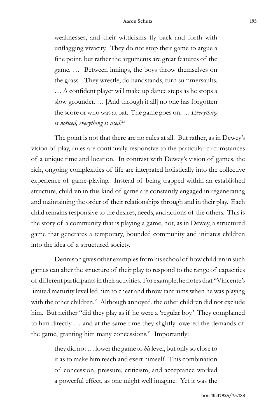weaknesses, and their witticisms fly back and forth with unflagging vivacity. They do not stop their game to argue a fine point, but rather the arguments are great features of the game. … Between innings, the boys throw themselves on the grass. They wrestle, do handstands, turn summersaults. … A confident player will make up dance steps as he stops a slow grounder. … [And through it all] no one has forgotten the score or who was at bat. The game goes on. … *Everything is noticed, everything is used*. 25

The point is not that there are no rules at all. But rather, as in Dewey's vision of play, rules are continually responsive to the particular circumstances of a unique time and location. In contrast with Dewey's vision of games, the rich, ongoing complexities of life are integrated holistically into the collective experience of game-playing. Instead of being trapped within an established structure, children in this kind of game are constantly engaged in regenerating and maintaining the order of their relationships through and in their play. Each child remains responsive to the desires, needs, and actions of the others. This is the story of a community that is playing a game, not, as in Dewey, a structured game that generates a temporary, bounded community and initiates children into the idea of a structured society.

Dennison gives other examples from his school of how children in such games can alter the structure of their play to respond to the range of capacities of different participants in their activities. For example, he notes that "Vincente's limited maturity level led him to cheat and throw tantrums when he was playing with the other children." Although annoyed, the other children did not exclude him. But neither "did they play as if he were a 'regular boy.' They complained to him directly … and at the same time they slightly lowered the demands of the game, granting him many concessions." Importantly:

> they did not … lower the game to *his* level, but only so close to it as to make him reach and exert himself. This combination of concession, pressure, criticism, and acceptance worked a powerful effect, as one might well imagine. Yet it was the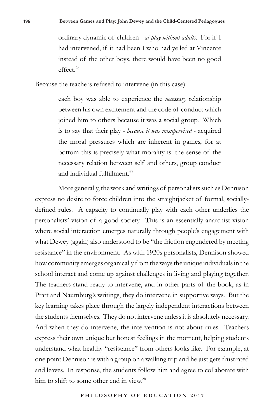ordinary dynamic of children - *at play without adults*. For if I had intervened, if it had been I who had yelled at Vincente instead of the other boys, there would have been no good effect.26

Because the teachers refused to intervene (in this case):

each boy was able to experience the *necessary* relationship between his own excitement and the code of conduct which joined him to others because it was a social group. Which is to say that their play - *because it was unsupervised* - acquired the moral pressures which are inherent in games, for at bottom this is precisely what morality is: the sense of the necessary relation between self and others, group conduct and individual fulfillment.<sup>27</sup>

More generally, the work and writings of personalists such as Dennison express no desire to force children into the straightjacket of formal, sociallydefined rules. A capacity to continually play with each other underlies the personalists' vision of a good society. This is an essentially anarchist vision where social interaction emerges naturally through people's engagement with what Dewey (again) also understood to be "the friction engendered by meeting resistance" in the environment. As with 1920s personalists, Dennison showed how community emerges organically from the ways the unique individuals in the school interact and come up against challenges in living and playing together. The teachers stand ready to intervene, and in other parts of the book, as in Pratt and Naumburg's writings, they do intervene in supportive ways. But the key learning takes place through the largely independent interactions between the students themselves. They do not intervene unless it is absolutely necessary. And when they do intervene, the intervention is not about rules. Teachers express their own unique but honest feelings in the moment, helping students understand what healthy "resistance" from others looks like. For example, at one point Dennison is with a group on a walking trip and he just gets frustrated and leaves. In response, the students follow him and agree to collaborate with him to shift to some other end in view.<sup>28</sup>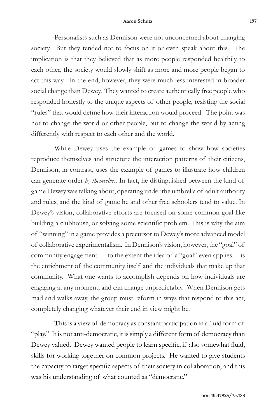#### **Aaron Schutz 197**

Personalists such as Dennison were not unconcerned about changing society. But they tended not to focus on it or even speak about this. The implication is that they believed that as more people responded healthily to each other, the society would slowly shift as more and more people began to act this way. In the end, however, they were much less interested in broader social change than Dewey. They wanted to create authentically free people who responded honestly to the unique aspects of other people, resisting the social "rules" that would define how their interaction would proceed. The point was not to change the world or other people, but to change the world by acting differently with respect to each other and the world.

While Dewey uses the example of games to show how societies reproduce themselves and structure the interaction patterns of their citizens, Dennison, in contrast, uses the example of games to illustrate how children can generate order *by themselves.* In fact, he distinguished between the kind of game Dewey was talking about, operating under the umbrella of adult authority and rules, and the kind of game he and other free schoolers tend to value. In Dewey's vision, collaborative efforts are focused on some common goal like building a clubhouse, or solving some scientific problem. This is why the aim of "winning" in a game provides a precursor to Dewey's more advanced model of collaborative experimentalism. In Dennison's vision, however, the "goal" of community engagement — to the extent the idea of a "goal" even applies —is the enrichment of the community itself and the individuals that make up that community. What one wants to accomplish depends on how individuals are engaging at any moment, and can change unpredictably. When Dennison gets mad and walks away, the group must reform in ways that respond to this act, completely changing whatever their end in view might be.

This is a view of democracy as constant participation in a fluid form of "play." It is not anti-democratic, it is simply a different form of democracy than Dewey valued. Dewey wanted people to learn specific, if also somewhat fluid, skills for working together on common projects. He wanted to give students the capacity to target specific aspects of their society in collaboration, and this was his understanding of what counted as "democratic."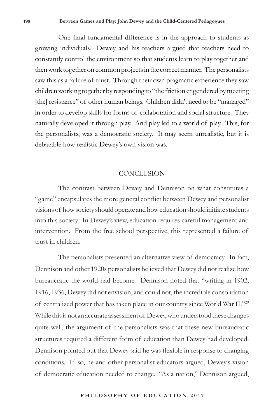One final fundamental difference is in the approach to students as growing individuals. Dewey and his teachers argued that teachers need to constantly control the environment so that students learn to play together and then work together on common projects in the correct manner. The personalists saw this as a failure of trust. Through their own pragmatic experience they saw children working together by responding to "the friction engendered by meeting [the] resistance" of other human beings. Children didn't need to be "managed" in order to develop skills for forms of collaboration and social structure. They naturally developed it through play. And play led to a world of play. This, for the personalists, was a democratic society. It may seem unrealistic, but it is debatable how realistic Dewey's own vision was.

### **CONCLUSION**

The contrast between Dewey and Dennison on what constitutes a "game" encapsulates the more general conflict between Dewey and personalist visions of how society should operate and how education should initiate students into this society. In Dewey's view, education requires careful management and intervention. From the free school perspective, this represented a failure of trust in children.

The personalists presented an alternative view of democracy. In fact, Dennison and other 1920s personalists believed that Dewey did not realize how bureaucratic the world had become. Dennison noted that "writing in 1902, 1916, 1936, Dewey did not envision, and could not, the incredible consolidation of centralized power that has taken place in our country since World War II."29 While this is not an accurate assessment of Dewey, who understood these changes quite well, the argument of the personalists was that these new bureaucratic structures required a different form of education than Dewey had developed. Dennison pointed out that Dewey said he was flexible in response to changing conditions. If so, he and other personalist educators argued, Dewey's vision of democratic education needed to change. "As a nation," Dennison argued,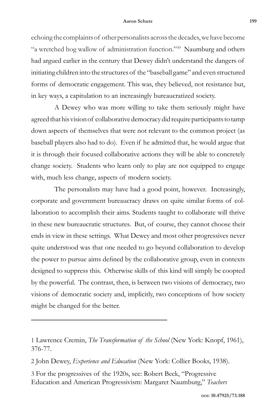### **Aaron Schutz 199**

echoing the complaints of other personalists across the decades, we have become "a wretched hog wallow of administration function."30 Naumburg and others had argued earlier in the century that Dewey didn't understand the dangers of initiating children into the structures of the "baseball game" and even structured forms of democratic engagement. This was, they believed, not resistance but, in key ways, a capitulation to an increasingly bureaucratized society.

A Dewey who was more willing to take them seriously might have agreed that his vision of collaborative democracy did require participants to tamp down aspects of themselves that were not relevant to the common project (as baseball players also had to do). Even if he admitted that, he would argue that it is through their focused collaborative actions they will be able to concretely change society. Students who learn only to play are not equipped to engage with, much less change, aspects of modern society.

The personalists may have had a good point, however. Increasingly, corporate and government bureaucracy draws on quite similar forms of collaboration to accomplish their aims. Students taught to collaborate will thrive in these new bureaucratic structures. But, of course, they cannot choose their ends in view in these settings. What Dewey and most other progressives never quite understood was that one needed to go beyond collaboration to develop the power to pursue aims defined by the collaborative group, even in contexts designed to suppress this. Otherwise skills of this kind will simply be coopted by the powerful. The contrast, then, is between two visions of democracy, two visions of democratic society and, implicitly, two conceptions of how society might be changed for the better.

2 John Dewey, *Experience and Education* (New York: Collier Books, 1938).

3 For the progressives of the 1920s, see: Robert Beck, "Progressive Education and American Progressivism: Margaret Naumburg," *Teachers* 

<sup>1</sup> Lawrence Cremin, *The Transformation of the School* (New York: Knopf, 1961), 376-77.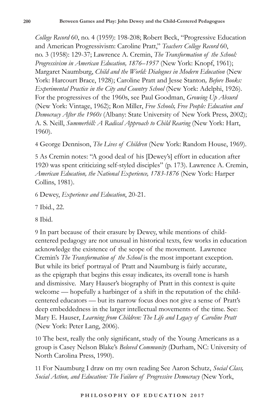*College Record* 60, no. 4 (1959): 198-208; Robert Beck, "Progressive Education and American Progressivism: Caroline Pratt," *Teachers College Record* 60, no. 3 (1958): 129-37; Lawrence A. Cremin, *The Transformation of the School: Progressivism in American Education, 1876–1957* (New York: Knopf, 1961); Margaret Naumburg, *Child and the World: Dialogues in Modern Education* (New York: Harcourt Brace, 1928); Caroline Pratt and Jesse Stanton*, Before Books: Experimental Practice in the City and Country School* (New York: Adelphi, 1926). For the progressives of the 1960s, see Paul Goodman, *Growing Up Absurd*  (New York: Vintage, 1962); Ron Miller, *Free Schools, Free People: Education and Democracy After the 1960s* (Albany: State University of New York Press, 2002); A. S. Neill, *Summerhill: A Radical Approach to Child Rearing* (New York: Hart, 1960).

4 George Dennison, *The Lives of Children* (New York: Random House, 1969).

5 As Cremin notes: "A good deal of his [Dewey's] effort in education after 1920 was spent criticizing self-styled disciples" (p. 173). Lawrence A. Cremin, *American Education, the National Experience, 1783-1876* (New York: Harper Collins, 1981).

6 Dewey, *Experience and Education*, 20-21.

7 Ibid., 22.

8 Ibid.

9 In part because of their erasure by Dewey, while mentions of childcentered pedagogy are not unusual in historical texts, few works in education acknowledge the existence of the scope of the movement. Lawrence Cremin's *The Transformation of the School* is the most important exception. But while its brief portrayal of Pratt and Naumburg is fairly accurate, as the epigraph that begins this essay indicates, its overall tone is harsh and dismissive. Mary Hauser's biography of Pratt in this context is quite welcome — hopefully a harbinger of a shift in the reputation of the childcentered educators — but its narrow focus does not give a sense of Pratt's deep embeddedness in the larger intellectual movements of the time. See: Mary E. Hauser, *Learning from Children: The Life and Legacy of Caroline Pratt* (New York: Peter Lang, 2006).

10 The best, really the only significant, study of the Young Americans as a group is Casey Nelson Blake's *Beloved Community* (Durham, NC: University of North Carolina Press, 1990).

11 For Naumburg I draw on my own reading See Aaron Schutz, *Social Class, Social Action, and Education: The Failure of Progressive Democracy* (New York,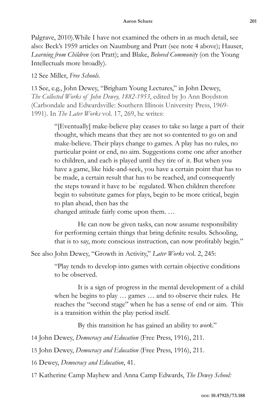### **Aaron Schutz 201**

Palgrave, 2010).While I have not examined the others in as much detail, see also: Beck's 1959 articles on Naumburg and Pratt (see note 4 above); Hauser, *Learning from Children* (on Pratt); and Blake, *Beloved Community* (on the Young Intellectuals more broadly).

12 See Miller, *Free Schools.*

13 See, e.g., John Dewey, "Brigham Young Lectures," in John Dewey, *The Collected Works of John Dewey, 1882-1953*, edited by Jo Ann Boydston (Carbondale and Edwardsville: Southern Illinois University Press, 1969- 1991). In *The Later Works* vol. 17, 269, he writes:

> "[Eventually] make-believe play ceases to take so large a part of their thought, which means that they are not so contented to go on and make-believe. Their plays change to games. A play has no rules, no particular point or end, no aim. Suggestions come one after another to children, and each is played until they tire of it. But when you have a game, like hide-and-seek, you have a certain point that has to be made, a certain result that has to be reached, and consequently the steps toward it have to be° regulated. When children therefore begin to substitute games for plays, begin to be more critical, begin to plan ahead, then has the changed attitude fairly come upon them. …

> He can now be given tasks, can now assume responsibility for performing certain things that bring definite results. Schooling, that is to say, more conscious instruction, can now profitably begin."

See also John Dewey, "Growth in Activity," *Later Works* vol. 2, 245:

"Play tends to develop into games with certain objective conditions to be observed.

It is a sign of progress in the mental development of a child when he begins to play … games … and to observe their rules. He reaches the "second stage" when he has a sense of end or aim. This is a transition within the play period itself.

By this transition he has gained an ability to *work*."

14 John Dewey, *Democracy and Education* (Free Press, 1916), 211.

15 John Dewey, *Democracy and Education* (Free Press, 1916), 211.

16 Dewey, *Democracy and Education*, 41.

17 Katherine Camp Mayhew and Anna Camp Edwards, *The Dewey School:*